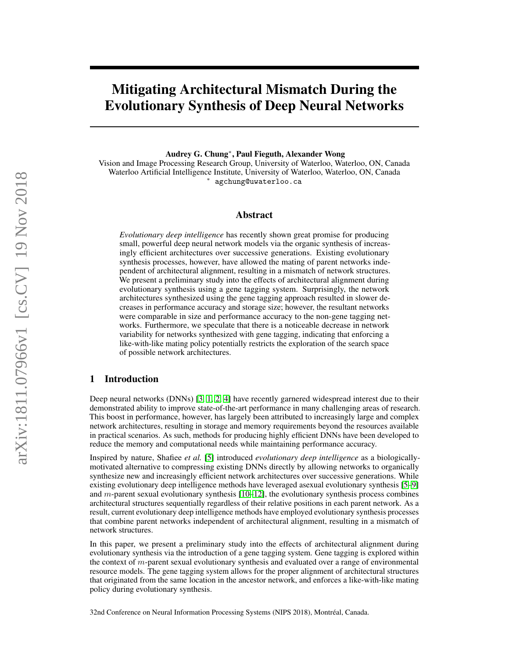# Mitigating Architectural Mismatch During the Evolutionary Synthesis of Deep Neural Networks

Audrey G. Chung<sup>∗</sup> , Paul Fieguth, Alexander Wong

Vision and Image Processing Research Group, University of Waterloo, Waterloo, ON, Canada Waterloo Artificial Intelligence Institute, University of Waterloo, Waterloo, ON, Canada <sup>∗</sup> agchung@uwaterloo.ca

## Abstract

*Evolutionary deep intelligence* has recently shown great promise for producing small, powerful deep neural network models via the organic synthesis of increasingly efficient architectures over successive generations. Existing evolutionary synthesis processes, however, have allowed the mating of parent networks independent of architectural alignment, resulting in a mismatch of network structures. We present a preliminary study into the effects of architectural alignment during evolutionary synthesis using a gene tagging system. Surprisingly, the network architectures synthesized using the gene tagging approach resulted in slower decreases in performance accuracy and storage size; however, the resultant networks were comparable in size and performance accuracy to the non-gene tagging networks. Furthermore, we speculate that there is a noticeable decrease in network variability for networks synthesized with gene tagging, indicating that enforcing a like-with-like mating policy potentially restricts the exploration of the search space of possible network architectures.

# 1 Introduction

Deep neural networks (DNNs) [\[3,](#page-4-0) [1,](#page-4-1) [2,](#page-4-2) [4\]](#page-4-3) have recently garnered widespread interest due to their demonstrated ability to improve state-of-the-art performance in many challenging areas of research. This boost in performance, however, has largely been attributed to increasingly large and complex network architectures, resulting in storage and memory requirements beyond the resources available in practical scenarios. As such, methods for producing highly efficient DNNs have been developed to reduce the memory and computational needs while maintaining performance accuracy.

Inspired by nature, Shafiee *et al.* [\[5\]](#page-4-4) introduced *evolutionary deep intelligence* as a biologicallymotivated alternative to compressing existing DNNs directly by allowing networks to organically synthesize new and increasingly efficient network architectures over successive generations. While existing evolutionary deep intelligence methods have leveraged asexual evolutionary synthesis [\[5–](#page-4-4)[9\]](#page-4-5) and  $m$ -parent sexual evolutionary synthesis  $[10-12]$  $[10-12]$ , the evolutionary synthesis process combines architectural structures sequentially regardless of their relative positions in each parent network. As a result, current evolutionary deep intelligence methods have employed evolutionary synthesis processes that combine parent networks independent of architectural alignment, resulting in a mismatch of network structures.

In this paper, we present a preliminary study into the effects of architectural alignment during evolutionary synthesis via the introduction of a gene tagging system. Gene tagging is explored within the context of m-parent sexual evolutionary synthesis and evaluated over a range of environmental resource models. The gene tagging system allows for the proper alignment of architectural structures that originated from the same location in the ancestor network, and enforces a like-with-like mating policy during evolutionary synthesis.

32nd Conference on Neural Information Processing Systems (NIPS 2018), Montréal, Canada.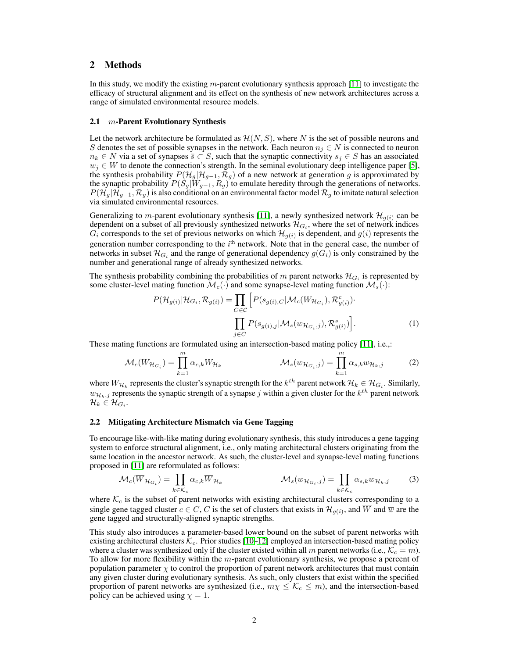## 2 Methods

In this study, we modify the existing m-parent evolutionary synthesis approach [\[11\]](#page-4-8) to investigate the efficacy of structural alignment and its effect on the synthesis of new network architectures across a range of simulated environmental resource models.

### 2.1  $m$ -Parent Evolutionary Synthesis

Let the network architecture be formulated as  $\mathcal{H}(N, S)$ , where N is the set of possible neurons and S denotes the set of possible synapses in the network. Each neuron  $n_j \in N$  is connected to neuron  $n_k \in N$  via a set of synapses  $\overline{s} \subset S$ , such that the synaptic connectivity  $s_j \in S$  has an associated  $w_i \in W$  to denote the connection's strength. In the seminal evolutionary deep intelligence paper [\[5\]](#page-4-4), the synthesis probability  $P(\mathcal{H}_g | \mathcal{H}_{g-1}, \mathcal{R}_g)$  of a new network at generation g is approximated by the synaptic probability  $P(S_g|W_{g-1}, R_g)$  to emulate heredity through the generations of networks.  $P(\mathcal{H}_g|\mathcal{H}_{g-1}, \mathcal{R}_g)$  is also conditional on an environmental factor model  $\mathcal{R}_g$  to imitate natural selection via simulated environmental resources.

Generalizing to *m*-parent evolutionary synthesis [\[11\]](#page-4-8), a newly synthesized network  $\mathcal{H}_{q(i)}$  can be dependent on a subset of all previously synthesized networks  $\mathcal{H}_{G_i}$ , where the set of network indices  $G_i$  corresponds to the set of previous networks on which  $\mathcal{H}_{g(i)}$  is dependent, and  $g(i)$  represents the generation number corresponding to the  $i<sup>th</sup>$  network. Note that in the general case, the number of networks in subset  $\mathcal{H}_{G_i}$  and the range of generational dependency  $g(G_i)$  is only constrained by the number and generational range of already synthesized networks.

The synthesis probability combining the probabilities of m parent networks  $\mathcal{H}_{G_i}$  is represented by some cluster-level mating function  $\mathcal{M}_c(\cdot)$  and some synapse-level mating function  $\mathcal{M}_s(\cdot)$ :

$$
P(\mathcal{H}_{g(i)}|\mathcal{H}_{G_i}, \mathcal{R}_{g(i)}) = \prod_{C \in \mathcal{C}} \left[ P(s_{g(i),C}|\mathcal{M}_c(W_{\mathcal{H}_{G_i}}), \mathcal{R}_{g(i)}^c) \right]
$$

$$
\prod_{j \in C} P(s_{g(i),j}|\mathcal{M}_s(w_{\mathcal{H}_{G_i},j}), \mathcal{R}_{g(i)}^s) \right].
$$
 (1)

These mating functions are formulated using an intersection-based mating policy [\[11\]](#page-4-8), i.e.,:

$$
\mathcal{M}_c(W_{\mathcal{H}_{G_i}}) = \prod_{k=1}^m \alpha_{c,k} W_{\mathcal{H}_k} \qquad \mathcal{M}_s(w_{\mathcal{H}_{G_i},j}) = \prod_{k=1}^m \alpha_{s,k} w_{\mathcal{H}_k,j} \qquad (2)
$$

where  $W_{\mathcal{H}_k}$  represents the cluster's synaptic strength for the  $k^{th}$  parent network  $\mathcal{H}_k \in \mathcal{H}_{G_i}.$  Similarly,  $w_{\mathcal{H}_k,j}$  represents the synaptic strength of a synapse  $j$  within a given cluster for the  $k^{th}$  parent network  $\mathcal{H}_k \in \mathcal{H}_{G_i}.$ 

### 2.2 Mitigating Architecture Mismatch via Gene Tagging

To encourage like-with-like mating during evolutionary synthesis, this study introduces a gene tagging system to enforce structural alignment, i.e., only mating architectural clusters originating from the same location in the ancestor network. As such, the cluster-level and synapse-level mating functions proposed in [\[11\]](#page-4-8) are reformulated as follows:

$$
\mathcal{M}_c(\overline{W}_{\mathcal{H}_{G_i}}) = \prod_{k \in \mathcal{K}_c} \alpha_{c,k} \overline{W}_{\mathcal{H}_k} \qquad \mathcal{M}_s(\overline{w}_{\mathcal{H}_{G_i},j}) = \prod_{k \in \mathcal{K}_c} \alpha_{s,k} \overline{w}_{\mathcal{H}_k,j} \qquad (3)
$$

where  $\mathcal{K}_c$  is the subset of parent networks with existing architectural clusters corresponding to a single gene tagged cluster  $c \in C$ , C is the set of clusters that exists in  $\mathcal{H}_{g(i)}$ , and  $\overline{W}$  and  $\overline{w}$  are the gene tagged and structurally-aligned synaptic strengths.

This study also introduces a parameter-based lower bound on the subset of parent networks with existing architectural clusters  $\mathcal{K}_c$ . Prior studies [\[10](#page-4-6)[–12\]](#page-4-7) employed an intersection-based mating policy where a cluster was synthesized only if the cluster existed within all m parent networks (i.e.,  $\mathcal{K}_c = m$ ). To allow for more flexibility within the  $m$ -parent evolutionary synthesis, we propose a percent of population parameter  $\chi$  to control the proportion of parent network architectures that must contain any given cluster during evolutionary synthesis. As such, only clusters that exist within the specified proportion of parent networks are synthesized (i.e.,  $m\chi \leq \mathcal{K}_c \leq m$ ), and the intersection-based policy can be achieved using  $\chi = 1$ .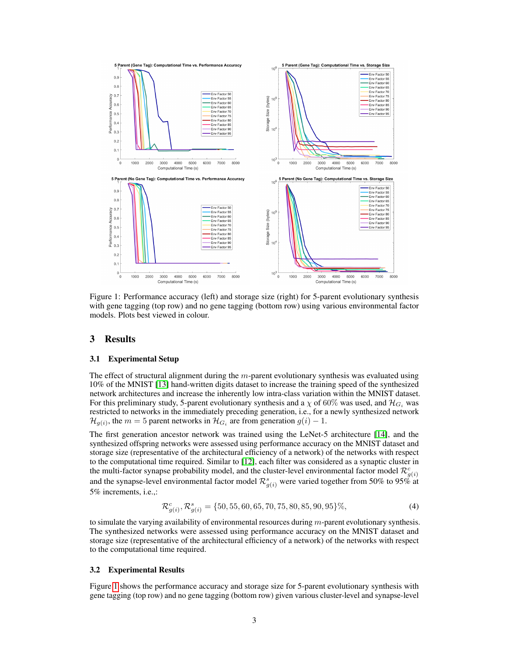

<span id="page-2-0"></span>Figure 1: Performance accuracy (left) and storage size (right) for 5-parent evolutionary synthesis with gene tagging (top row) and no gene tagging (bottom row) using various environmental factor models. Plots best viewed in colour.

## 3 Results

#### 3.1 Experimental Setup

The effect of structural alignment during the  $m$ -parent evolutionary synthesis was evaluated using 10% of the MNIST [\[13\]](#page-4-9) hand-written digits dataset to increase the training speed of the synthesized network architectures and increase the inherently low intra-class variation within the MNIST dataset. For this preliminary study, 5-parent evolutionary synthesis and a  $\chi$  of 60% was used, and  $\mathcal{H}_{G_i}$  was restricted to networks in the immediately preceding generation, i.e., for a newly synthesized network  $\mathcal{H}_{g(i)}$ , the  $m=5$  parent networks in  $\mathcal{H}_{G_i}$  are from generation  $g(i)-1$ .

The first generation ancestor network was trained using the LeNet-5 architecture [\[14\]](#page-4-10), and the synthesized offspring networks were assessed using performance accuracy on the MNIST dataset and storage size (representative of the architectural efficiency of a network) of the networks with respect to the computational time required. Similar to [\[12\]](#page-4-7), each filter was considered as a synaptic cluster in the multi-factor synapse probability model, and the cluster-level environmental factor model  $\mathcal{R}_{g(i)}^c$ and the synapse-level environmental factor model  $\mathcal{R}^s_{g(i)}$  were varied together from 50% to 95% at 5% increments, i.e.,:

$$
\mathcal{R}_{g(i)}^c, \mathcal{R}_{g(i)}^s = \{50, 55, 60, 65, 70, 75, 80, 85, 90, 95\}\%,\tag{4}
$$

to simulate the varying availability of environmental resources during  $m$ -parent evolutionary synthesis. The synthesized networks were assessed using performance accuracy on the MNIST dataset and storage size (representative of the architectural efficiency of a network) of the networks with respect to the computational time required.

#### 3.2 Experimental Results

Figure [1](#page-2-0) shows the performance accuracy and storage size for 5-parent evolutionary synthesis with gene tagging (top row) and no gene tagging (bottom row) given various cluster-level and synapse-level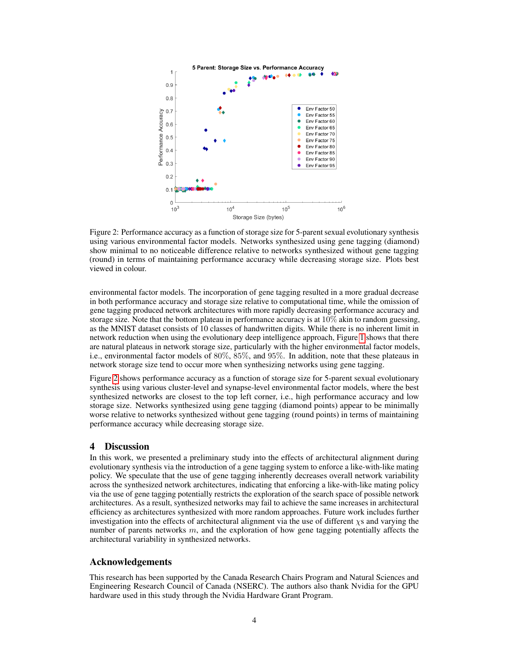

<span id="page-3-0"></span>Figure 2: Performance accuracy as a function of storage size for 5-parent sexual evolutionary synthesis using various environmental factor models. Networks synthesized using gene tagging (diamond) show minimal to no noticeable difference relative to networks synthesized without gene tagging (round) in terms of maintaining performance accuracy while decreasing storage size. Plots best viewed in colour.

environmental factor models. The incorporation of gene tagging resulted in a more gradual decrease in both performance accuracy and storage size relative to computational time, while the omission of gene tagging produced network architectures with more rapidly decreasing performance accuracy and storage size. Note that the bottom plateau in performance accuracy is at 10% akin to random guessing, as the MNIST dataset consists of 10 classes of handwritten digits. While there is no inherent limit in network reduction when using the evolutionary deep intelligence approach, Figure [1](#page-2-0) shows that there are natural plateaus in network storage size, particularly with the higher environmental factor models, i.e., environmental factor models of 80%, 85%, and 95%. In addition, note that these plateaus in network storage size tend to occur more when synthesizing networks using gene tagging.

Figure [2](#page-3-0) shows performance accuracy as a function of storage size for 5-parent sexual evolutionary synthesis using various cluster-level and synapse-level environmental factor models, where the best synthesized networks are closest to the top left corner, i.e., high performance accuracy and low storage size. Networks synthesized using gene tagging (diamond points) appear to be minimally worse relative to networks synthesized without gene tagging (round points) in terms of maintaining performance accuracy while decreasing storage size.

# 4 Discussion

In this work, we presented a preliminary study into the effects of architectural alignment during evolutionary synthesis via the introduction of a gene tagging system to enforce a like-with-like mating policy. We speculate that the use of gene tagging inherently decreases overall network variability across the synthesized network architectures, indicating that enforcing a like-with-like mating policy via the use of gene tagging potentially restricts the exploration of the search space of possible network architectures. As a result, synthesized networks may fail to achieve the same increases in architectural efficiency as architectures synthesized with more random approaches. Future work includes further investigation into the effects of architectural alignment via the use of different  $\chi$ s and varying the number of parents networks  $m$ , and the exploration of how gene tagging potentially affects the architectural variability in synthesized networks.

# Acknowledgements

This research has been supported by the Canada Research Chairs Program and Natural Sciences and Engineering Research Council of Canada (NSERC). The authors also thank Nvidia for the GPU hardware used in this study through the Nvidia Hardware Grant Program.